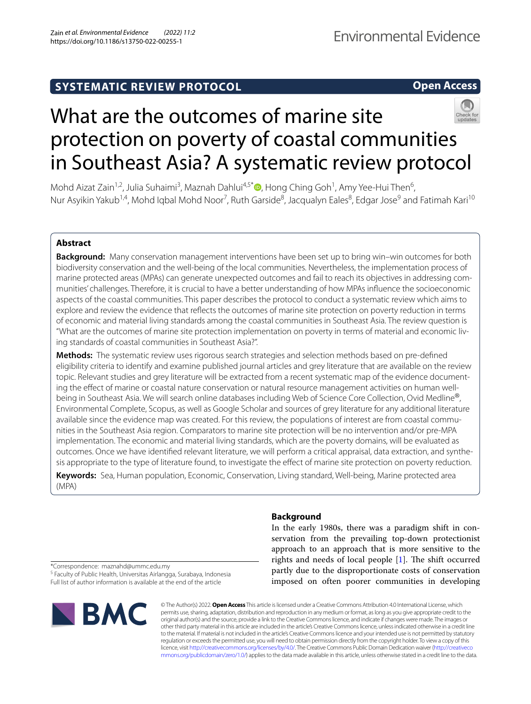# **SYSTEMATIC REVIEW PROTOCOL**

# **Open Access**



# What are the outcomes of marine site protection on poverty of coastal communities in Southeast Asia? A systematic review protocol

Mohd Aizat Zain<sup>1[,](http://orcid.org/0000-0003-4923-9410)2</sup>, Julia Suhaimi<sup>3</sup>, Maznah Dahlui<sup>4,5\*</sup> , Hong Ching Goh<sup>1</sup>, Amy Yee-Hui Then<sup>6</sup>, Nur Asyikin Yakub<sup>1,4</sup>, Mohd Iqbal Mohd Noor<sup>7</sup>, Ruth Garside<sup>8</sup>, Jacqualyn Eales<sup>8</sup>, Edgar Jose<sup>9</sup> and Fatimah Kari<sup>10</sup>

# **Abstract**

**Background:** Many conservation management interventions have been set up to bring win–win outcomes for both biodiversity conservation and the well-being of the local communities. Nevertheless, the implementation process of marine protected areas (MPAs) can generate unexpected outcomes and fail to reach its objectives in addressing communities' challenges. Therefore, it is crucial to have a better understanding of how MPAs infuence the socioeconomic aspects of the coastal communities. This paper describes the protocol to conduct a systematic review which aims to explore and review the evidence that refects the outcomes of marine site protection on poverty reduction in terms of economic and material living standards among the coastal communities in Southeast Asia. The review question is "What are the outcomes of marine site protection implementation on poverty in terms of material and economic liv‑ ing standards of coastal communities in Southeast Asia?".

**Methods:** The systematic review uses rigorous search strategies and selection methods based on pre-defned eligibility criteria to identify and examine published journal articles and grey literature that are available on the review topic. Relevant studies and grey literature will be extracted from a recent systematic map of the evidence documenting the efect of marine or coastal nature conservation or natural resource management activities on human wellbeing in Southeast Asia. We will search online databases including Web of Science Core Collection, Ovid Medline®, Environmental Complete, Scopus, as well as Google Scholar and sources of grey literature for any additional literature available since the evidence map was created. For this review, the populations of interest are from coastal communities in the Southeast Asia region. Comparators to marine site protection will be no intervention and/or pre-MPA implementation. The economic and material living standards, which are the poverty domains, will be evaluated as outcomes. Once we have identified relevant literature, we will perform a critical appraisal, data extraction, and synthesis appropriate to the type of literature found, to investigate the efect of marine site protection on poverty reduction.

**Keywords:** Sea, Human population, Economic, Conservation, Living standard, Well-being, Marine protected area (MPA)

# **Background**

In the early 1980s, there was a paradigm shift in conservation from the prevailing top-down protectionist approach to an approach that is more sensitive to the rights and needs of local people  $[1]$ . The shift occurred partly due to the disproportionate costs of conservation imposed on often poorer communities in developing

\*Correspondence: maznahd@ummc.edu.my

<sup>5</sup> Faculty of Public Health, Universitas Airlangga, Surabaya, Indonesia Full list of author information is available at the end of the article



© The Author(s) 2022. **Open Access** This article is licensed under a Creative Commons Attribution 4.0 International License, which permits use, sharing, adaptation, distribution and reproduction in any medium or format, as long as you give appropriate credit to the original author(s) and the source, provide a link to the Creative Commons licence, and indicate if changes were made. The images or other third party material in this article are included in the article's Creative Commons licence, unless indicated otherwise in a credit line to the material. If material is not included in the article's Creative Commons licence and your intended use is not permitted by statutory regulation or exceeds the permitted use, you will need to obtain permission directly from the copyright holder. To view a copy of this licence, visit [http://creativecommons.org/licenses/by/4.0/.](http://creativecommons.org/licenses/by/4.0/) The Creative Commons Public Domain Dedication waiver ([http://creativeco](http://creativecommons.org/publicdomain/zero/1.0/) [mmons.org/publicdomain/zero/1.0/](http://creativecommons.org/publicdomain/zero/1.0/)) applies to the data made available in this article, unless otherwise stated in a credit line to the data.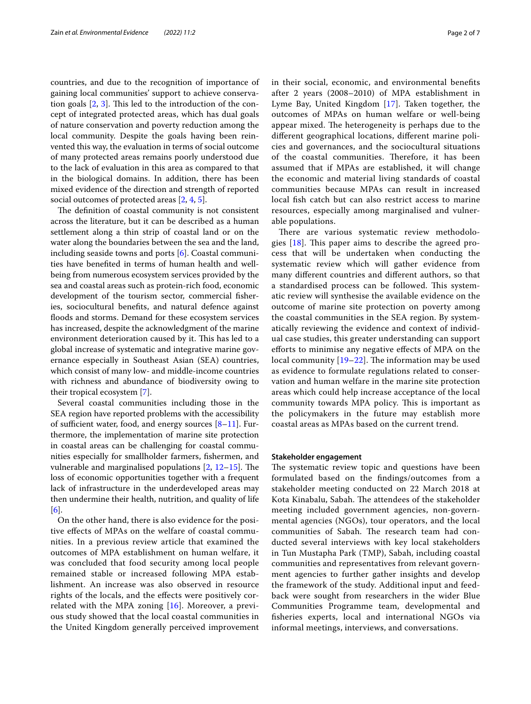countries, and due to the recognition of importance of gaining local communities' support to achieve conservation goals  $[2, 3]$  $[2, 3]$  $[2, 3]$  $[2, 3]$ . This led to the introduction of the concept of integrated protected areas, which has dual goals of nature conservation and poverty reduction among the local community. Despite the goals having been reinvented this way, the evaluation in terms of social outcome of many protected areas remains poorly understood due to the lack of evaluation in this area as compared to that in the biological domains. In addition, there has been mixed evidence of the direction and strength of reported social outcomes of protected areas [\[2,](#page-5-1) [4](#page-5-3), [5\]](#page-5-4).

The definition of coastal community is not consistent across the literature, but it can be described as a human settlement along a thin strip of coastal land or on the water along the boundaries between the sea and the land, including seaside towns and ports [[6\]](#page-5-5). Coastal communities have benefted in terms of human health and wellbeing from numerous ecosystem services provided by the sea and coastal areas such as protein-rich food, economic development of the tourism sector, commercial fsheries, sociocultural benefts, and natural defence against floods and storms. Demand for these ecosystem services has increased, despite the acknowledgment of the marine environment deterioration caused by it. This has led to a global increase of systematic and integrative marine governance especially in Southeast Asian (SEA) countries, which consist of many low- and middle-income countries with richness and abundance of biodiversity owing to their tropical ecosystem [\[7\]](#page-5-6).

Several coastal communities including those in the SEA region have reported problems with the accessibility of sufficient water, food, and energy sources  $[8-11]$  $[8-11]$ . Furthermore, the implementation of marine site protection in coastal areas can be challenging for coastal communities especially for smallholder farmers, fshermen, and vulnerable and marginalised populations  $[2, 12-15]$  $[2, 12-15]$  $[2, 12-15]$  $[2, 12-15]$ . The loss of economic opportunities together with a frequent lack of infrastructure in the underdeveloped areas may then undermine their health, nutrition, and quality of life [[6\]](#page-5-5).

On the other hand, there is also evidence for the positive efects of MPAs on the welfare of coastal communities. In a previous review article that examined the outcomes of MPA establishment on human welfare, it was concluded that food security among local people remained stable or increased following MPA establishment. An increase was also observed in resource rights of the locals, and the efects were positively correlated with the MPA zoning [\[16\]](#page-6-3). Moreover, a previous study showed that the local coastal communities in the United Kingdom generally perceived improvement in their social, economic, and environmental benefts after 2 years (2008–2010) of MPA establishment in Lyme Bay, United Kingdom [[17\]](#page-6-4). Taken together, the outcomes of MPAs on human welfare or well-being appear mixed. The heterogeneity is perhaps due to the diferent geographical locations, diferent marine policies and governances, and the sociocultural situations of the coastal communities. Therefore, it has been assumed that if MPAs are established, it will change the economic and material living standards of coastal communities because MPAs can result in increased local fsh catch but can also restrict access to marine resources, especially among marginalised and vulnerable populations.

There are various systematic review methodologies  $[18]$  $[18]$  $[18]$ . This paper aims to describe the agreed process that will be undertaken when conducting the systematic review which will gather evidence from many diferent countries and diferent authors, so that a standardised process can be followed. This systematic review will synthesise the available evidence on the outcome of marine site protection on poverty among the coastal communities in the SEA region. By systematically reviewing the evidence and context of individual case studies, this greater understanding can support efforts to minimise any negative effects of MPA on the local community  $[19–22]$  $[19–22]$ . The information may be used as evidence to formulate regulations related to conservation and human welfare in the marine site protection areas which could help increase acceptance of the local community towards MPA policy. This is important as the policymakers in the future may establish more coastal areas as MPAs based on the current trend.

#### **Stakeholder engagement**

The systematic review topic and questions have been formulated based on the fndings/outcomes from a stakeholder meeting conducted on 22 March 2018 at Kota Kinabalu, Sabah. The attendees of the stakeholder meeting included government agencies, non-governmental agencies (NGOs), tour operators, and the local communities of Sabah. The research team had conducted several interviews with key local stakeholders in Tun Mustapha Park (TMP), Sabah, including coastal communities and representatives from relevant government agencies to further gather insights and develop the framework of the study. Additional input and feedback were sought from researchers in the wider Blue Communities Programme team, developmental and fsheries experts, local and international NGOs via informal meetings, interviews, and conversations.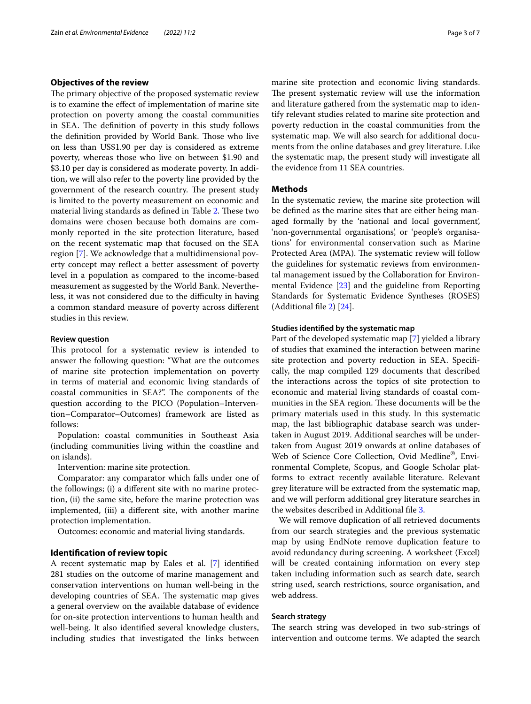# **Objectives of the review**

The primary objective of the proposed systematic review is to examine the efect of implementation of marine site protection on poverty among the coastal communities in SEA. The definition of poverty in this study follows the definition provided by World Bank. Those who live on less than US\$1.90 per day is considered as extreme poverty, whereas those who live on between \$1.90 and \$3.10 per day is considered as moderate poverty. In addition, we will also refer to the poverty line provided by the government of the research country. The present study is limited to the poverty measurement on economic and material living standards as defined in Table [2](#page-4-0). These two domains were chosen because both domains are commonly reported in the site protection literature, based on the recent systematic map that focused on the SEA region [\[7](#page-5-6)]. We acknowledge that a multidimensional poverty concept may refect a better assessment of poverty level in a population as compared to the income-based measurement as suggested by the World Bank. Nevertheless, it was not considered due to the difficulty in having a common standard measure of poverty across diferent studies in this review.

#### **Review question**

This protocol for a systematic review is intended to answer the following question: "What are the outcomes of marine site protection implementation on poverty in terms of material and economic living standards of coastal communities in SEA?". The components of the question according to the PICO (Population–Intervention–Comparator–Outcomes) framework are listed as follows:

Population: coastal communities in Southeast Asia (including communities living within the coastline and on islands).

Intervention: marine site protection.

Comparator: any comparator which falls under one of the followings; (i) a diferent site with no marine protection, (ii) the same site, before the marine protection was implemented, (iii) a diferent site, with another marine protection implementation.

Outcomes: economic and material living standards.

#### **Identifcation of review topic**

A recent systematic map by Eales et al. [[7\]](#page-5-6) identifed 281 studies on the outcome of marine management and conservation interventions on human well-being in the developing countries of SEA. The systematic map gives a general overview on the available database of evidence for on-site protection interventions to human health and well-being. It also identifed several knowledge clusters, including studies that investigated the links between marine site protection and economic living standards. The present systematic review will use the information and literature gathered from the systematic map to identify relevant studies related to marine site protection and poverty reduction in the coastal communities from the systematic map. We will also search for additional documents from the online databases and grey literature. Like the systematic map, the present study will investigate all the evidence from 11 SEA countries.

#### **Methods**

In the systematic review, the marine site protection will be defned as the marine sites that are either being managed formally by the 'national and local government', 'non-governmental organisations', or 'people's organisations' for environmental conservation such as Marine Protected Area (MPA). The systematic review will follow the guidelines for systematic reviews from environmental management issued by the Collaboration for Environmental Evidence [\[23](#page-6-8)] and the guideline from Reporting Standards for Systematic Evidence Syntheses (ROSES) (Additional fle [2](#page-5-8)) [\[24\]](#page-6-9).

## **Studies identifed by the systematic map**

Part of the developed systematic map [[7\]](#page-5-6) yielded a library of studies that examined the interaction between marine site protection and poverty reduction in SEA. Specifcally, the map compiled 129 documents that described the interactions across the topics of site protection to economic and material living standards of coastal communities in the SEA region. These documents will be the primary materials used in this study. In this systematic map, the last bibliographic database search was undertaken in August 2019. Additional searches will be undertaken from August 2019 onwards at online databases of Web of Science Core Collection, Ovid Medline®, Environmental Complete, Scopus, and Google Scholar platforms to extract recently available literature. Relevant grey literature will be extracted from the systematic map, and we will perform additional grey literature searches in the websites described in Additional fle [3.](#page-5-9)

We will remove duplication of all retrieved documents from our search strategies and the previous systematic map by using EndNote remove duplication feature to avoid redundancy during screening. A worksheet (Excel) will be created containing information on every step taken including information such as search date, search string used, search restrictions, source organisation, and web address.

#### **Search strategy**

The search string was developed in two sub-strings of intervention and outcome terms. We adapted the search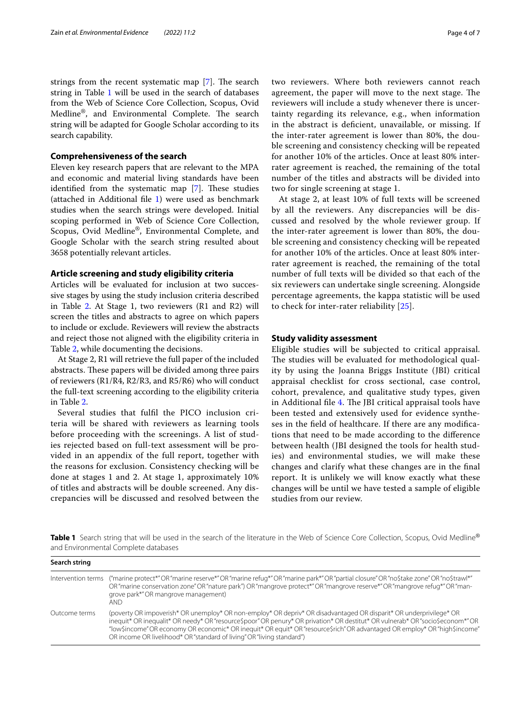strings from the recent systematic map [[7\]](#page-5-6). The search string in Table [1](#page-3-0) will be used in the search of databases from the Web of Science Core Collection, Scopus, Ovid Medline®, and Environmental Complete. The search string will be adapted for Google Scholar according to its search capability.

# **Comprehensiveness of the search**

Eleven key research papers that are relevant to the MPA and economic and material living standards have been identified from the systematic map  $[7]$  $[7]$ . These studies (attached in Additional fle [1\)](#page-5-10) were used as benchmark studies when the search strings were developed. Initial scoping performed in Web of Science Core Collection, Scopus, Ovid Medline®, Environmental Complete, and Google Scholar with the search string resulted about 3658 potentially relevant articles.

# **Article screening and study eligibility criteria**

Articles will be evaluated for inclusion at two successive stages by using the study inclusion criteria described in Table  $2$ . At Stage 1, two reviewers (R1 and R2) will screen the titles and abstracts to agree on which papers to include or exclude. Reviewers will review the abstracts and reject those not aligned with the eligibility criteria in Table [2](#page-4-0), while documenting the decisions.

At Stage 2, R1 will retrieve the full paper of the included abstracts. These papers will be divided among three pairs of reviewers (R1/R4, R2/R3, and R5/R6) who will conduct the full-text screening according to the eligibility criteria in Table [2](#page-4-0).

Several studies that fulfl the PICO inclusion criteria will be shared with reviewers as learning tools before proceeding with the screenings. A list of studies rejected based on full-text assessment will be provided in an appendix of the full report, together with the reasons for exclusion. Consistency checking will be done at stages 1 and 2. At stage 1, approximately 10% of titles and abstracts will be double screened. Any discrepancies will be discussed and resolved between the

two reviewers. Where both reviewers cannot reach agreement, the paper will move to the next stage. The reviewers will include a study whenever there is uncertainty regarding its relevance, e.g., when information in the abstract is deficient, unavailable, or missing. If the inter-rater agreement is lower than 80%, the double screening and consistency checking will be repeated for another 10% of the articles. Once at least 80% interrater agreement is reached, the remaining of the total number of the titles and abstracts will be divided into two for single screening at stage 1.

At stage 2, at least 10% of full texts will be screened by all the reviewers. Any discrepancies will be discussed and resolved by the whole reviewer group. If the inter-rater agreement is lower than 80%, the double screening and consistency checking will be repeated for another 10% of the articles. Once at least 80% interrater agreement is reached, the remaining of the total number of full texts will be divided so that each of the six reviewers can undertake single screening. Alongside percentage agreements, the kappa statistic will be used to check for inter-rater reliability [[25](#page-6-10)].

# **Study validity assessment**

Eligible studies will be subjected to critical appraisal. The studies will be evaluated for methodological quality by using the Joanna Briggs Institute (JBI) critical appraisal checklist for cross sectional, case control, cohort, prevalence, and qualitative study types, given in Additional file [4](#page-5-11). The JBI critical appraisal tools have been tested and extensively used for evidence syntheses in the feld of healthcare. If there are any modifcations that need to be made according to the diference between health (JBI designed the tools for health studies) and environmental studies, we will make these changes and clarify what these changes are in the fnal report. It is unlikely we will know exactly what these changes will be until we have tested a sample of eligible studies from our review.

<span id="page-3-0"></span>Table 1 Search string that will be used in the search of the literature in the Web of Science Core Collection, Scopus, Ovid Medline® and Environmental Complete databases

| Search string |                                                                                                                                                                                                                                                                                                                                                                                                                                                              |  |
|---------------|--------------------------------------------------------------------------------------------------------------------------------------------------------------------------------------------------------------------------------------------------------------------------------------------------------------------------------------------------------------------------------------------------------------------------------------------------------------|--|
|               | Intervention terms ("marine protect*"OR"marine reserve*"OR"marine refug*"OR"marine park*"OR"partial closure"OR"no\$take zone"OR"no\$trawl*"<br>OR "marine conservation zone" OR "nature park") OR "mangrove protect*" OR "mangrove reserve*" OR "mangrove refug*" OR "man-<br>grove park*"OR mangrove management)<br>and .                                                                                                                                   |  |
| Outcome terms | (poverty OR impoverish* OR unemploy* OR non-employ* OR depriv* OR disadvantaged OR disparit* OR underprivilege* OR<br>inequit* OR inequalit* OR needy* OR "resource\$poor" OR penury* OR privation* OR destitut* OR vulnerab* OR "socio\$econom*" OR<br>"low\$income" OR economy OR economic* OR inequit* OR equit* OR "resource\$rich" OR advantaged OR employ* OR "high\$income"<br>OR income OR livelihood* OR "standard of living" OR "living standard") |  |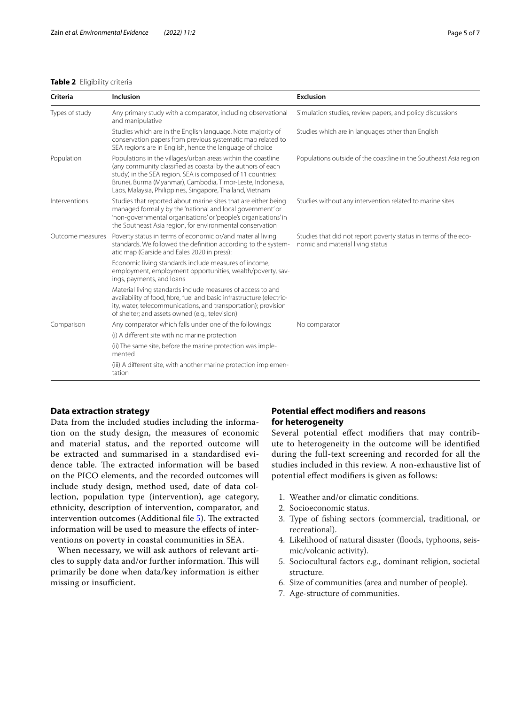# <span id="page-4-0"></span>**Table 2** Eligibility criteria

| Criteria         | Inclusion                                                                                                                                                                                                                                                                                                            | <b>Exclusion</b>                                                                                    |
|------------------|----------------------------------------------------------------------------------------------------------------------------------------------------------------------------------------------------------------------------------------------------------------------------------------------------------------------|-----------------------------------------------------------------------------------------------------|
| Types of study   | Any primary study with a comparator, including observational<br>and manipulative                                                                                                                                                                                                                                     | Simulation studies, review papers, and policy discussions                                           |
|                  | Studies which are in the English language. Note: majority of<br>conservation papers from previous systematic map related to<br>SEA regions are in English, hence the language of choice                                                                                                                              | Studies which are in languages other than English                                                   |
| Population       | Populations in the villages/urban areas within the coastline<br>(any community classified as coastal by the authors of each<br>study) in the SEA region. SEA is composed of 11 countries:<br>Brunei, Burma (Myanmar), Cambodia, Timor-Leste, Indonesia,<br>Laos, Malaysia, Philippines, Singapore, Thailand, Vietnam | Populations outside of the coastline in the Southeast Asia region                                   |
| Interventions    | Studies that reported about marine sites that are either being<br>managed formally by the 'national and local government' or<br>'non-governmental organisations' or 'people's organisations' in<br>the Southeast Asia region, for environmental conservation                                                         | Studies without any intervention related to marine sites                                            |
| Outcome measures | Poverty status in terms of economic or/and material living<br>standards. We followed the definition according to the system-<br>atic map (Garside and Eales 2020 in press):                                                                                                                                          | Studies that did not report poverty status in terms of the eco-<br>nomic and material living status |
|                  | Economic living standards include measures of income,<br>employment, employment opportunities, wealth/poverty, sav-<br>ings, payments, and loans                                                                                                                                                                     |                                                                                                     |
|                  | Material living standards include measures of access to and<br>availability of food, fibre, fuel and basic infrastructure (electric-<br>ity, water, telecommunications, and transportation); provision<br>of shelter; and assets owned (e.g., television)                                                            |                                                                                                     |
| Comparison       | Any comparator which falls under one of the followings:                                                                                                                                                                                                                                                              | No comparator                                                                                       |
|                  | (i) A different site with no marine protection                                                                                                                                                                                                                                                                       |                                                                                                     |
|                  | (ii) The same site, before the marine protection was imple-<br>mented                                                                                                                                                                                                                                                |                                                                                                     |

(iii) A different site, with another marine protection implementation

# **Data extraction strategy**

Data from the included studies including the information on the study design, the measures of economic and material status, and the reported outcome will be extracted and summarised in a standardised evidence table. The extracted information will be based on the PICO elements, and the recorded outcomes will include study design, method used, date of data collection, population type (intervention), age category, ethnicity, description of intervention, comparator, and intervention outcomes (Additional file [5](#page-5-12)). The extracted information will be used to measure the effects of interventions on poverty in coastal communities in SEA.

When necessary, we will ask authors of relevant articles to supply data and/or further information. This will primarily be done when data/key information is either missing or insufficient.

# **Potential efect modifers and reasons for heterogeneity**

Several potential efect modifers that may contribute to heterogeneity in the outcome will be identifed during the full-text screening and recorded for all the studies included in this review. A non-exhaustive list of potential efect modifers is given as follows:

- 1. Weather and/or climatic conditions.
- 2. Socioeconomic status.
- 3. Type of fshing sectors (commercial, traditional, or recreational).
- 4. Likelihood of natural disaster (floods, typhoons, seismic/volcanic activity).
- 5. Sociocultural factors e.g., dominant religion, societal structure.
- 6. Size of communities (area and number of people).
- 7. Age-structure of communities.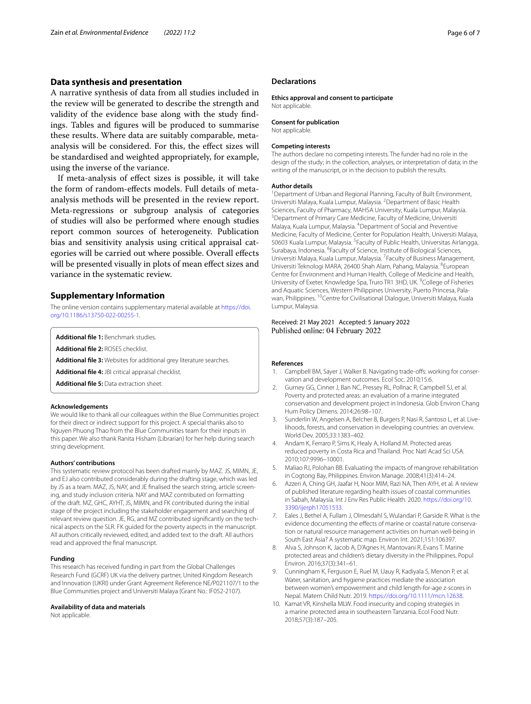# **Data synthesis and presentation**

A narrative synthesis of data from all studies included in the review will be generated to describe the strength and validity of the evidence base along with the study fndings. Tables and fgures will be produced to summarise these results. Where data are suitably comparable, metaanalysis will be considered. For this, the efect sizes will be standardised and weighted appropriately, for example, using the inverse of the variance.

If meta-analysis of efect sizes is possible, it will take the form of random-efects models. Full details of metaanalysis methods will be presented in the review report. Meta-regressions or subgroup analysis of categories of studies will also be performed where enough studies report common sources of heterogeneity. Publication bias and sensitivity analysis using critical appraisal categories will be carried out where possible. Overall efects will be presented visually in plots of mean efect sizes and variance in the systematic review.

## **Supplementary Information**

The online version contains supplementary material available at [https://doi.](https://doi.org/10.1186/s13750-022-00255-1) [org/10.1186/s13750-022-00255-1](https://doi.org/10.1186/s13750-022-00255-1).

<span id="page-5-10"></span><span id="page-5-8"></span>**Additional fle 1:** Benchmark studies.

<span id="page-5-9"></span>**Additional fle 2:** ROSES checklist.

<span id="page-5-12"></span><span id="page-5-11"></span>**Additional fle 3:** Websites for additional grey literature searches.

**Additional fle 4:** JBI critical appraisal checklist.

**Additional fle 5:** Data extraction sheet.

#### **Acknowledgements**

We would like to thank all our colleagues within the Blue Communities project for their direct or indirect support for this project. A special thanks also to Nguyen Phuong Thao from the Blue Communities team for their inputs in this paper. We also thank Ranita Hisham (Librarian) for her help during search string development.

#### **Authors' contributions**

This systematic review protocol has been drafted mainly by MAZ. JS, MIMN, JE, and EJ also contributed considerably during the drafting stage, which was led by JS as a team. MAZ, JS, NAY, and JE finalised the search string, article screening, and study inclusion criteria. NAY and MAZ contributed on formatting of the draft. MZ, GHC, AYHT, JS, MIMN, and FK contributed during the initial stage of the project including the stakeholder engagement and searching of relevant review question. JE, RG, and MZ contributed significantly on the technical aspects on the SLR. FK guided for the poverty aspects in the manuscript. All authors critically reviewed, edited, and added text to the draft. All authors read and approved the fnal manuscript.

#### **Funding**

This research has received funding in part from the Global Challenges Research Fund (GCRF) UK via the delivery partner, United Kingdom Research and Innovation (UKRI) under Grant Agreement Reference NE/P021107/1 to the Blue Communities project and Universiti Malaya (Grant No.: IF052-2107).

#### **Availability of data and materials**

Not applicable.

#### **Declarations**

**Ethics approval and consent to participate** Not applicable.

# **Consent for publication**

Not applicable.

#### **Competing interests**

The authors declare no competing interests. The funder had no role in the design of the study; in the collection, analyses, or interpretation of data; in the writing of the manuscript, or in the decision to publish the results.

#### **Author details**

<sup>1</sup> Department of Urban and Regional Planning, Faculty of Built Environment, Universiti Malaya, Kuala Lumpur, Malaysia. <sup>2</sup> Department of Basic Health Sciences, Faculty of Pharmacy, MAHSA University, Kuala Lumpur, Malaysia. <sup>3</sup> Department of Primary Care Medicine, Faculty of Medicine, Universiti Malaya, Kuala Lumpur, Malaysia. 4 Department of Social and Preventive Medicine, Faculty of Medicine, Center for Population Health, Universiti Malaya, 50603 Kuala Lumpur, Malaysia. <sup>5</sup> Faculty of Public Health, Universitas Airlangga, Surabaya, Indonesia. <sup>6</sup> Faculty of Science, Institute of Biological Sciences, Universiti Malaya, Kuala Lumpur, Malaysia. <sup>7</sup> Faculty of Business Management, Universiti Teknologi MARA, 26400 Shah Alam, Pahang, Malaysia. <sup>8</sup>European Centre for Environment and Human Health, College of Medicine and Health, University of Exeter, Knowledge Spa, Truro TR1 3HD, UK. <sup>9</sup>College of Fisheries and Aquatic Sciences, Western Philippines University, Puerto Princesa, Palawan, Philippines. 10Centre for Civilisational Dialogue, Universiti Malaya, Kuala Lumpur, Malaysia.

#### Received: 21 May 2021 Accepted: 5 January 2022 Published online: 04 February 2022

#### **References**

- <span id="page-5-0"></span>1. Campbell BM, Sayer J, Walker B. Navigating trade-offs: working for conservation and development outcomes. Ecol Soc. 2010;15:6.
- <span id="page-5-1"></span>2. Gurney GG, Cinner J, Ban NC, Pressey RL, Pollnac R, Campbell SJ, et al. Poverty and protected areas: an evaluation of a marine integrated conservation and development project in Indonesia. Glob Environ Chang Hum Policy Dimens. 2014;26:98–107.
- <span id="page-5-2"></span>3. Sunderlin W, Angelsen A, Belcher B, Burgers P, Nasi R, Santoso L, et al. Livelihoods, forests, and conservation in developing countries: an overview. World Dev. 2005;33:1383–402.
- <span id="page-5-3"></span>4. Andam K, Ferraro P, Sims K, Healy A, Holland M. Protected areas reduced poverty in Costa Rica and Thailand. Proc Natl Acad Sci USA. 2010;107:9996–10001.
- <span id="page-5-4"></span>5. Maliao RJ, Polohan BB. Evaluating the impacts of mangrove rehabilitation in Cogtong Bay, Philippines. Environ Manage. 2008;41(3):414–24.
- <span id="page-5-5"></span>6. Azzeri A, Ching GH, Jaafar H, Noor MIM, Razi NA, Then AYH, et al. A review of published literature regarding health issues of coastal communities in Sabah, Malaysia. Int J Env Res Public Health. 2020. [https://doi.org/10.](https://doi.org/10.3390/ijerph17051533) [3390/ijerph17051533.](https://doi.org/10.3390/ijerph17051533)
- <span id="page-5-6"></span>7. Eales J, Bethel A, Fullam J, Olmesdahl S, Wulandari P, Garside R. What is the evidence documenting the effects of marine or coastal nature conservation or natural resource management activities on human well-being in South East Asia? A systematic map. Environ Int. 2021;151:106397.
- <span id="page-5-7"></span>8. Alva S, Johnson K, Jacob A, D'Agnes H, Mantovani R, Evans T. Marine protected areas and children's dietary diversity in the Philippines. Popul Environ. 2016;37(3):341–61.
- 9. Cunningham K, Ferguson E, Ruel M, Uauy R, Kadiyala S, Menon P, et al. Water, sanitation, and hygiene practices mediate the association between women's empowerment and child length-for-age z-scores in Nepal. Matern Child Nutr. 2019. [https://doi.org/10.1111/mcn.12638.](https://doi.org/10.1111/mcn.12638)
- 10. Kamat VR, Kinshella MLW. Food insecurity and coping strategies in a marine protected area in southeastern Tanzania. Ecol Food Nutr. 2018;57(3):187–205.